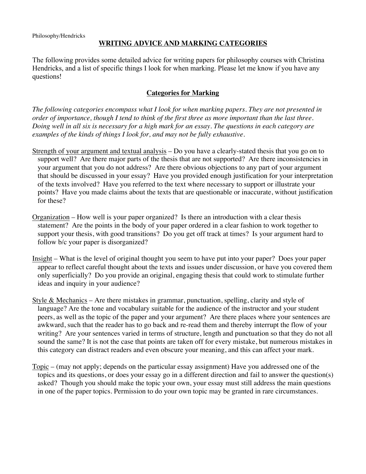# **WRITING ADVICE AND MARKING CATEGORIES**

The following provides some detailed advice for writing papers for philosophy courses with Christina Hendricks, and a list of specific things I look for when marking. Please let me know if you have any questions!

## **Categories for Marking**

*The following categories encompass what I look for when marking papers. They are not presented in order of importance, though I tend to think of the first three as more important than the last three. Doing well in all six is necessary for a high mark for an essay. The questions in each category are examples of the kinds of things I look for, and may not be fully exhaustive.*

- Strength of your argument and textual analysis Do you have a clearly-stated thesis that you go on to support well? Are there major parts of the thesis that are not supported? Are there inconsistencies in your argument that you do not address? Are there obvious objections to any part of your argument that should be discussed in your essay? Have you provided enough justification for your interpretation of the texts involved? Have you referred to the text where necessary to support or illustrate your points? Have you made claims about the texts that are questionable or inaccurate, without justification for these?
- Organization How well is your paper organized? Is there an introduction with a clear thesis statement? Are the points in the body of your paper ordered in a clear fashion to work together to support your thesis, with good transitions? Do you get off track at times? Is your argument hard to follow b/c your paper is disorganized?
- Insight What is the level of original thought you seem to have put into your paper? Does your paper appear to reflect careful thought about the texts and issues under discussion, or have you covered them only superficially? Do you provide an original, engaging thesis that could work to stimulate further ideas and inquiry in your audience?
- Style & Mechanics Are there mistakes in grammar, punctuation, spelling, clarity and style of language? Are the tone and vocabulary suitable for the audience of the instructor and your student peers, as well as the topic of the paper and your argument? Are there places where your sentences are awkward, such that the reader has to go back and re-read them and thereby interrupt the flow of your writing? Are your sentences varied in terms of structure, length and punctuation so that they do not all sound the same? It is not the case that points are taken off for every mistake, but numerous mistakes in this category can distract readers and even obscure your meaning, and this can affect your mark.
- Topic (may not apply; depends on the particular essay assignment) Have you addressed one of the topics and its questions, or does your essay go in a different direction and fail to answer the question(s) asked? Though you should make the topic your own, your essay must still address the main questions in one of the paper topics. Permission to do your own topic may be granted in rare circumstances.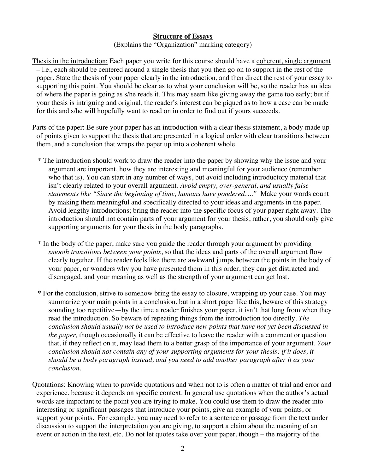### **Structure of Essays**

(Explains the "Organization" marking category)

Thesis in the introduction: Each paper you write for this course should have a coherent, single argument – i.e., each should be centered around a single thesis that you then go on to support in the rest of the paper. State the thesis of your paper clearly in the introduction, and then direct the rest of your essay to supporting this point. You should be clear as to what your conclusion will be, so the reader has an idea of where the paper is going as s/he reads it. This may seem like giving away the game too early; but if your thesis is intriguing and original, the reader's interest can be piqued as to how a case can be made for this and s/he will hopefully want to read on in order to find out if yours succeeds.

Parts of the paper: Be sure your paper has an introduction with a clear thesis statement, a body made up of points given to support the thesis that are presented in a logical order with clear transitions between them, and a conclusion that wraps the paper up into a coherent whole.

- \* The introduction should work to draw the reader into the paper by showing why the issue and your argument are important, how they are interesting and meaningful for your audience (remember who that is). You can start in any number of ways, but avoid including introductory material that isn't clearly related to your overall argument. *Avoid empty, over-general, and usually false statements like "Since the beginning of time, humans have pondered…."* Make your words count by making them meaningful and specifically directed to your ideas and arguments in the paper. Avoid lengthy introductions; bring the reader into the specific focus of your paper right away. The introduction should not contain parts of your argument for your thesis, rather, you should only give supporting arguments for your thesis in the body paragraphs.
- \* In the body of the paper, make sure you guide the reader through your argument by providing *smooth transitions between your points*, so that the ideas and parts of the overall argument flow clearly together. If the reader feels like there are awkward jumps between the points in the body of your paper, or wonders why you have presented them in this order, they can get distracted and disengaged, and your meaning as well as the strength of your argument can get lost.
- \* For the conclusion, strive to somehow bring the essay to closure, wrapping up your case. You may summarize your main points in a conclusion, but in a short paper like this, beware of this strategy sounding too repetitive—by the time a reader finishes your paper, it isn't that long from when they read the introduction. So beware of repeating things from the introduction too directly. *The conclusion should usually not be used to introduce new points that have not yet been discussed in the paper,* though occasionally it can be effective to leave the reader with a comment or question that, if they reflect on it, may lead them to a better grasp of the importance of your argument. *Your conclusion should not contain any of your supporting arguments for your thesis; if it does, it should be a body paragraph instead, and you need to add another paragraph after it as your conclusion.*

Quotations: Knowing when to provide quotations and when not to is often a matter of trial and error and experience, because it depends on specific context. In general use quotations when the author's actual words are important to the point you are trying to make. You could use them to draw the reader into interesting or significant passages that introduce your points, give an example of your points, or support your points. For example, you may need to refer to a sentence or passage from the text under discussion to support the interpretation you are giving, to support a claim about the meaning of an event or action in the text, etc. Do not let quotes take over your paper, though – the majority of the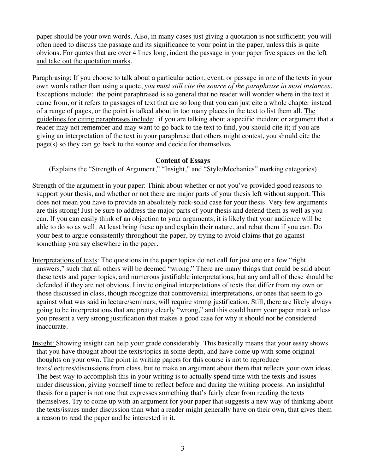paper should be your own words. Also, in many cases just giving a quotation is not sufficient; you will often need to discuss the passage and its significance to your point in the paper, unless this is quite obvious. For quotes that are over 4 lines long, indent the passage in your paper five spaces on the left and take out the quotation marks.

Paraphrasing: If you choose to talk about a particular action, event, or passage in one of the texts in your own words rather than using a quote, *you must still cite the source of the paraphrase in most instances.* Exceptions include: the point paraphrased is so general that no reader will wonder where in the text it came from, or it refers to passages of text that are so long that you can just cite a whole chapter instead of a range of pages, or the point is talked about in too many places in the text to list them all. The guidelines for citing paraphrases include: if you are talking about a specific incident or argument that a reader may not remember and may want to go back to the text to find, you should cite it; if you are giving an interpretation of the text in your paraphrase that others might contest, you should cite the page(s) so they can go back to the source and decide for themselves.

#### **Content of Essays**

(Explains the "Strength of Argument," "Insight," and "Style/Mechanics" marking categories)

- Strength of the argument in your paper: Think about whether or not you've provided good reasons to support your thesis, and whether or not there are major parts of your thesis left without support. This does not mean you have to provide an absolutely rock-solid case for your thesis. Very few arguments are this strong! Just be sure to address the major parts of your thesis and defend them as well as you can. If you can easily think of an objection to your arguments, it is likely that your audience will be able to do so as well. At least bring these up and explain their nature, and rebut them if you can. Do your best to argue consistently throughout the paper, by trying to avoid claims that go against something you say elsewhere in the paper.
- Interpretations of texts: The questions in the paper topics do not call for just one or a few "right answers," such that all others will be deemed "wrong." There are many things that could be said about these texts and paper topics, and numerous justifiable interpretations; but any and all of these should be defended if they are not obvious. I invite original interpretations of texts that differ from my own or those discussed in class, though recognize that controversial interpretations, or ones that seem to go against what was said in lecture/seminars, will require strong justification. Still, there are likely always going to be interpretations that are pretty clearly "wrong," and this could harm your paper mark unless you present a very strong justification that makes a good case for why it should not be considered inaccurate.
- Insight: Showing insight can help your grade considerably. This basically means that your essay shows that you have thought about the texts/topics in some depth, and have come up with some original thoughts on your own. The point in writing papers for this course is not to reproduce texts/lectures/discussions from class, but to make an argument about them that reflects your own ideas. The best way to accomplish this in your writing is to actually spend time with the texts and issues under discussion, giving yourself time to reflect before and during the writing process. An insightful thesis for a paper is not one that expresses something that's fairly clear from reading the texts themselves. Try to come up with an argument for your paper that suggests a new way of thinking about the texts/issues under discussion than what a reader might generally have on their own, that gives them a reason to read the paper and be interested in it.